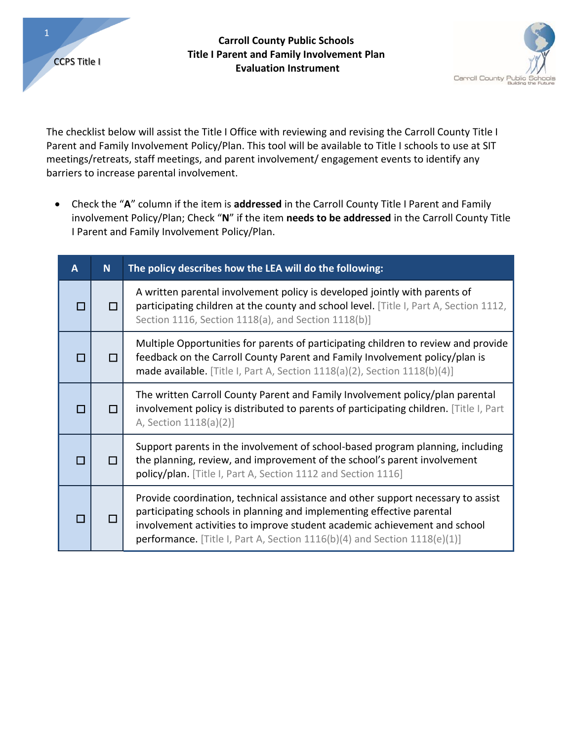

## **Carroll County Public Schools Title I Parent and Family Involvement Plan Evaluation Instrument** CCPS Title I



The checklist below will assist the Title I Office with reviewing and revising the Carroll County Title I Parent and Family Involvement Policy/Plan. This tool will be available to Title I schools to use at SIT meetings/retreats, staff meetings, and parent involvement/ engagement events to identify any barriers to increase parental involvement.

 Check the "**A**" column if the item is **addressed** in the Carroll County Title I Parent and Family involvement Policy/Plan; Check "**N**" if the item **needs to be addressed** in the Carroll County Title I Parent and Family Involvement Policy/Plan.

| A      | <b>N</b> | The policy describes how the LEA will do the following:                                                                                                                                                                                                                                                                  |
|--------|----------|--------------------------------------------------------------------------------------------------------------------------------------------------------------------------------------------------------------------------------------------------------------------------------------------------------------------------|
| П      |          | A written parental involvement policy is developed jointly with parents of<br>participating children at the county and school level. [Title I, Part A, Section 1112,<br>Section 1116, Section 1118(a), and Section 1118(b)]                                                                                              |
| $\Box$ | П        | Multiple Opportunities for parents of participating children to review and provide<br>feedback on the Carroll County Parent and Family Involvement policy/plan is<br>made available. [Title I, Part A, Section 1118(a)(2), Section 1118(b)(4)]                                                                           |
| П      |          | The written Carroll County Parent and Family Involvement policy/plan parental<br>involvement policy is distributed to parents of participating children. [Title I, Part<br>A, Section 1118(a)(2)]                                                                                                                        |
| □      | П        | Support parents in the involvement of school-based program planning, including<br>the planning, review, and improvement of the school's parent involvement<br>policy/plan. [Title I, Part A, Section 1112 and Section 1116]                                                                                              |
|        |          | Provide coordination, technical assistance and other support necessary to assist<br>participating schools in planning and implementing effective parental<br>involvement activities to improve student academic achievement and school<br>performance. [Title I, Part A, Section $1116(b)(4)$ and Section $1118(e)(1)$ ] |